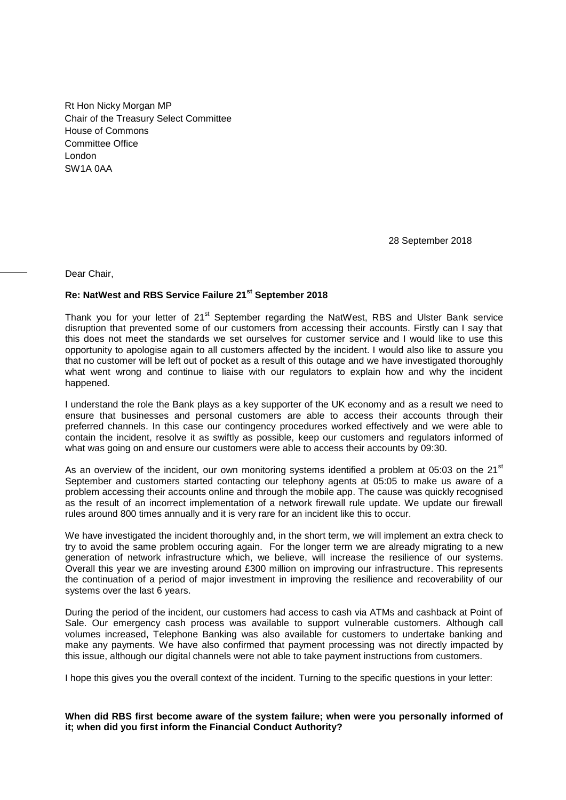Rt Hon Nicky Morgan MP Chair of the Treasury Select Committee House of Commons Committee Office London SW1A 0AA

28 September 2018

Dear Chair,

# **Re: NatWest and RBS Service Failure 21st September 2018**

Thank you for your letter of 21<sup>st</sup> September regarding the NatWest, RBS and Ulster Bank service disruption that prevented some of our customers from accessing their accounts. Firstly can I say that this does not meet the standards we set ourselves for customer service and I would like to use this opportunity to apologise again to all customers affected by the incident. I would also like to assure you that no customer will be left out of pocket as a result of this outage and we have investigated thoroughly what went wrong and continue to liaise with our regulators to explain how and why the incident happened.

I understand the role the Bank plays as a key supporter of the UK economy and as a result we need to ensure that businesses and personal customers are able to access their accounts through their preferred channels. In this case our contingency procedures worked effectively and we were able to contain the incident, resolve it as swiftly as possible, keep our customers and regulators informed of what was going on and ensure our customers were able to access their accounts by 09:30.

As an overview of the incident, our own monitoring systems identified a problem at 05:03 on the 21 $^{\rm st}$ September and customers started contacting our telephony agents at 05:05 to make us aware of a problem accessing their accounts online and through the mobile app. The cause was quickly recognised as the result of an incorrect implementation of a network firewall rule update. We update our firewall rules around 800 times annually and it is very rare for an incident like this to occur.

We have investigated the incident thoroughly and, in the short term, we will implement an extra check to try to avoid the same problem occuring again. For the longer term we are already migrating to a new generation of network infrastructure which, we believe, will increase the resilience of our systems. Overall this year we are investing around £300 million on improving our infrastructure. This represents the continuation of a period of major investment in improving the resilience and recoverability of our systems over the last 6 years.

During the period of the incident, our customers had access to cash via ATMs and cashback at Point of Sale. Our emergency cash process was available to support vulnerable customers. Although call volumes increased, Telephone Banking was also available for customers to undertake banking and make any payments. We have also confirmed that payment processing was not directly impacted by this issue, although our digital channels were not able to take payment instructions from customers.

I hope this gives you the overall context of the incident. Turning to the specific questions in your letter:

**When did RBS first become aware of the system failure; when were you personally informed of it; when did you first inform the Financial Conduct Authority?**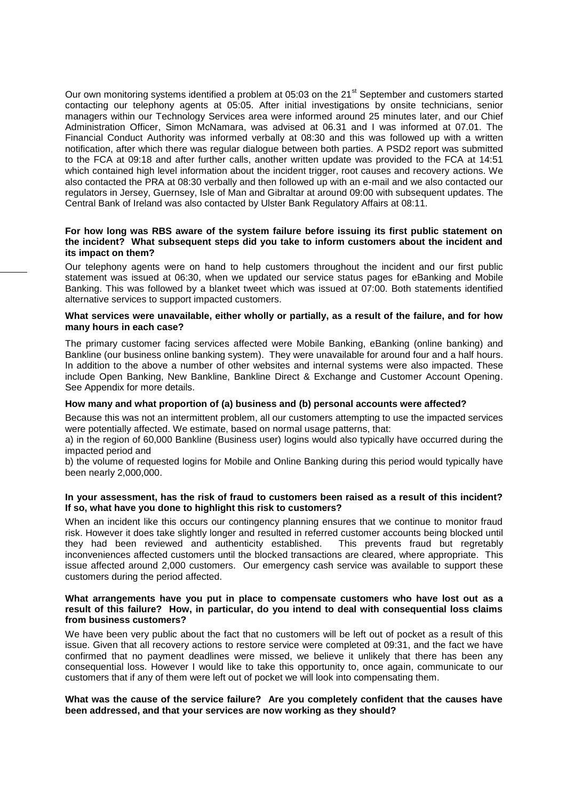Our own monitoring systems identified a problem at 05:03 on the 21 $^{\rm st}$  September and customers started contacting our telephony agents at 05:05. After initial investigations by onsite technicians, senior managers within our Technology Services area were informed around 25 minutes later, and our Chief Administration Officer, Simon McNamara, was advised at 06.31 and I was informed at 07.01. The Financial Conduct Authority was informed verbally at 08:30 and this was followed up with a written notification, after which there was regular dialogue between both parties. A PSD2 report was submitted to the FCA at 09:18 and after further calls, another written update was provided to the FCA at 14:51 which contained high level information about the incident trigger, root causes and recovery actions. We also contacted the PRA at 08:30 verbally and then followed up with an e-mail and we also contacted our regulators in Jersey, Guernsey, Isle of Man and Gibraltar at around 09:00 with subsequent updates. The Central Bank of Ireland was also contacted by Ulster Bank Regulatory Affairs at 08:11.

# **For how long was RBS aware of the system failure before issuing its first public statement on the incident? What subsequent steps did you take to inform customers about the incident and its impact on them?**

Our telephony agents were on hand to help customers throughout the incident and our first public statement was issued at 06:30, when we updated our service status pages for eBanking and Mobile Banking. This was followed by a blanket tweet which was issued at 07:00. Both statements identified alternative services to support impacted customers.

### **What services were unavailable, either wholly or partially, as a result of the failure, and for how many hours in each case?**

The primary customer facing services affected were Mobile Banking, eBanking (online banking) and Bankline (our business online banking system). They were unavailable for around four and a half hours. In addition to the above a number of other websites and internal systems were also impacted. These include Open Banking, New Bankline, Bankline Direct & Exchange and Customer Account Opening. See Appendix for more details.

# **How many and what proportion of (a) business and (b) personal accounts were affected?**

Because this was not an intermittent problem, all our customers attempting to use the impacted services were potentially affected. We estimate, based on normal usage patterns, that:

a) in the region of 60,000 Bankline (Business user) logins would also typically have occurred during the impacted period and

b) the volume of requested logins for Mobile and Online Banking during this period would typically have been nearly 2,000,000.

# **In your assessment, has the risk of fraud to customers been raised as a result of this incident? If so, what have you done to highlight this risk to customers?**

When an incident like this occurs our contingency planning ensures that we continue to monitor fraud risk. However it does take slightly longer and resulted in referred customer accounts being blocked until they had been reviewed and authenticity established. This prevents fraud but regretably inconveniences affected customers until the blocked transactions are cleared, where appropriate. This issue affected around 2,000 customers. Our emergency cash service was available to support these customers during the period affected.

# **What arrangements have you put in place to compensate customers who have lost out as a result of this failure? How, in particular, do you intend to deal with consequential loss claims from business customers?**

We have been very public about the fact that no customers will be left out of pocket as a result of this issue. Given that all recovery actions to restore service were completed at 09:31, and the fact we have confirmed that no payment deadlines were missed, we believe it unlikely that there has been any consequential loss. However I would like to take this opportunity to, once again, communicate to our customers that if any of them were left out of pocket we will look into compensating them.

#### **What was the cause of the service failure? Are you completely confident that the causes have been addressed, and that your services are now working as they should?**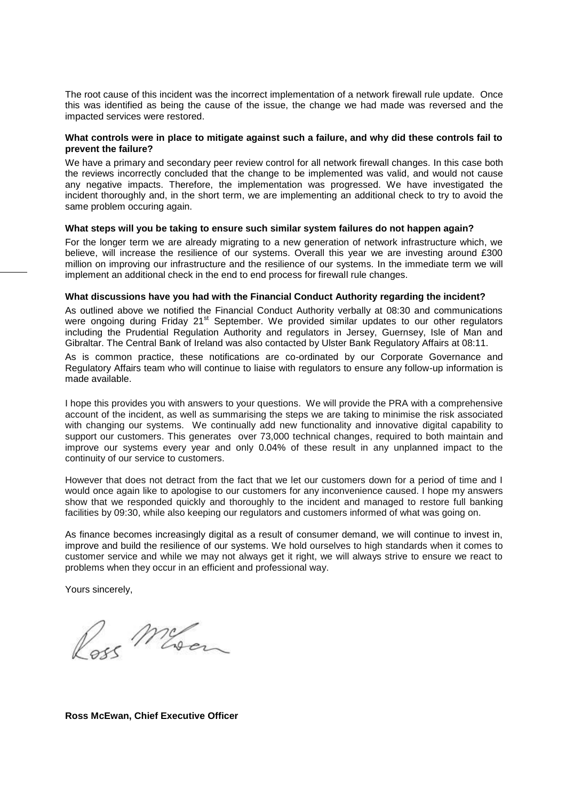The root cause of this incident was the incorrect implementation of a network firewall rule update. Once this was identified as being the cause of the issue, the change we had made was reversed and the impacted services were restored.

# **What controls were in place to mitigate against such a failure, and why did these controls fail to prevent the failure?**

We have a primary and secondary peer review control for all network firewall changes. In this case both the reviews incorrectly concluded that the change to be implemented was valid, and would not cause any negative impacts. Therefore, the implementation was progressed. We have investigated the incident thoroughly and, in the short term, we are implementing an additional check to try to avoid the same problem occuring again.

#### **What steps will you be taking to ensure such similar system failures do not happen again?**

For the longer term we are already migrating to a new generation of network infrastructure which, we believe, will increase the resilience of our systems. Overall this year we are investing around £300 million on improving our infrastructure and the resilience of our systems. In the immediate term we will implement an additional check in the end to end process for firewall rule changes.

# **What discussions have you had with the Financial Conduct Authority regarding the incident?**

As outlined above we notified the Financial Conduct Authority verbally at 08:30 and communications were ongoing during Friday 21<sup>st</sup> September. We provided similar updates to our other regulators including the Prudential Regulation Authority and regulators in Jersey, Guernsey, Isle of Man and Gibraltar. The Central Bank of Ireland was also contacted by Ulster Bank Regulatory Affairs at 08:11.

As is common practice, these notifications are co-ordinated by our Corporate Governance and Regulatory Affairs team who will continue to liaise with regulators to ensure any follow-up information is made available.

I hope this provides you with answers to your questions. We will provide the PRA with a comprehensive account of the incident, as well as summarising the steps we are taking to minimise the risk associated with changing our systems. We continually add new functionality and innovative digital capability to support our customers. This generates over 73,000 technical changes, required to both maintain and improve our systems every year and only 0.04% of these result in any unplanned impact to the continuity of our service to customers.

However that does not detract from the fact that we let our customers down for a period of time and I would once again like to apologise to our customers for any inconvenience caused. I hope my answers show that we responded quickly and thoroughly to the incident and managed to restore full banking facilities by 09:30, while also keeping our regulators and customers informed of what was going on.

As finance becomes increasingly digital as a result of consumer demand, we will continue to invest in, improve and build the resilience of our systems. We hold ourselves to high standards when it comes to customer service and while we may not always get it right, we will always strive to ensure we react to problems when they occur in an efficient and professional way.

Yours sincerely,

Pass Meson

**Ross McEwan, Chief Executive Officer**